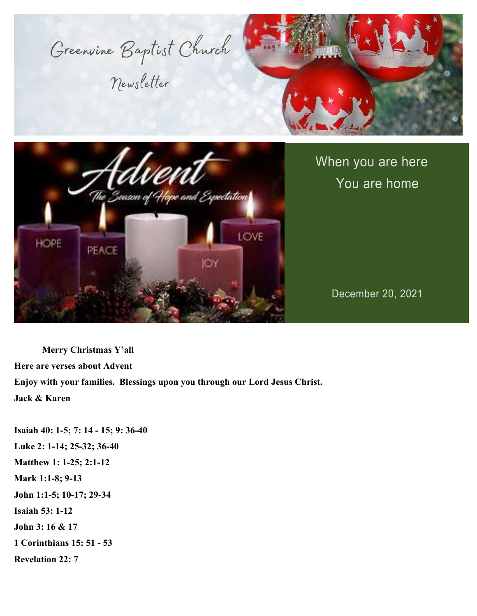

Newsletter





When you are here You are home

December 20, 2021

**Merry Christmas Y'all Here are verses about Advent Enjoy with your families. Blessings upon you through our Lord Jesus Christ. Jack & Karen**

**Isaiah 40: 1-5; 7: 14 - 15; 9: 36-40 Luke 2: 1-14; 25-32; 36-40 Matthew 1: 1-25; 2:1-12 Mark 1:1-8; 9-13 John 1:1-5; 10-17; 29-34 Isaiah 53: 1-12 John 3: 16 & 17 1 Corinthians 15: 51 - 53 Revelation 22: 7**